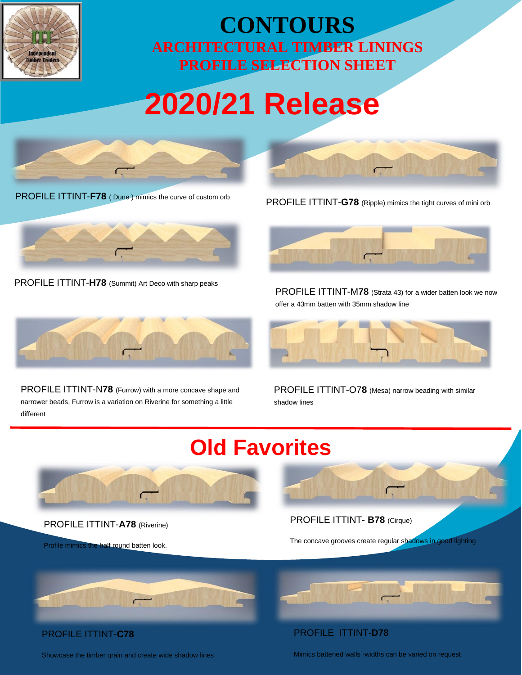

### **CONTOURS ARCHITECTURAL TIMBER LININGS PROFILE SELECTION SHEET**

# **2020/21 Release**



PROFILE ITTINT-**F78** ( Dune ) mimics the curve of custom orb



PROFILE ITTINT-**H78** (Summit) Art Deco with sharp peaks



PROFILE ITTINT-N**78** (Furrow) with a more concave shape and narrower beads, Furrow is a variation on Riverine for something a little different





PROFILE ITTINT-M**78** (Strata 43) for a wider batten look we now offer a 43mm batten with 35mm shadow line



PROFILE ITTINT-O7**8** (Mesa) narrow beading with similar shadow lines

## **Old Favorites**



PROFILE ITTINT-**A78** (Riverine)

Profile mimics the half round batten look.

#### PROFILE ITTINT- **B78** (Cirque)

PROFILE ITTINT-**D78**

The concave grooves create regular shadows in good lighting



#### PROFILE ITTINT-**C78**

Showcase the timber grain and create wide shadow lines